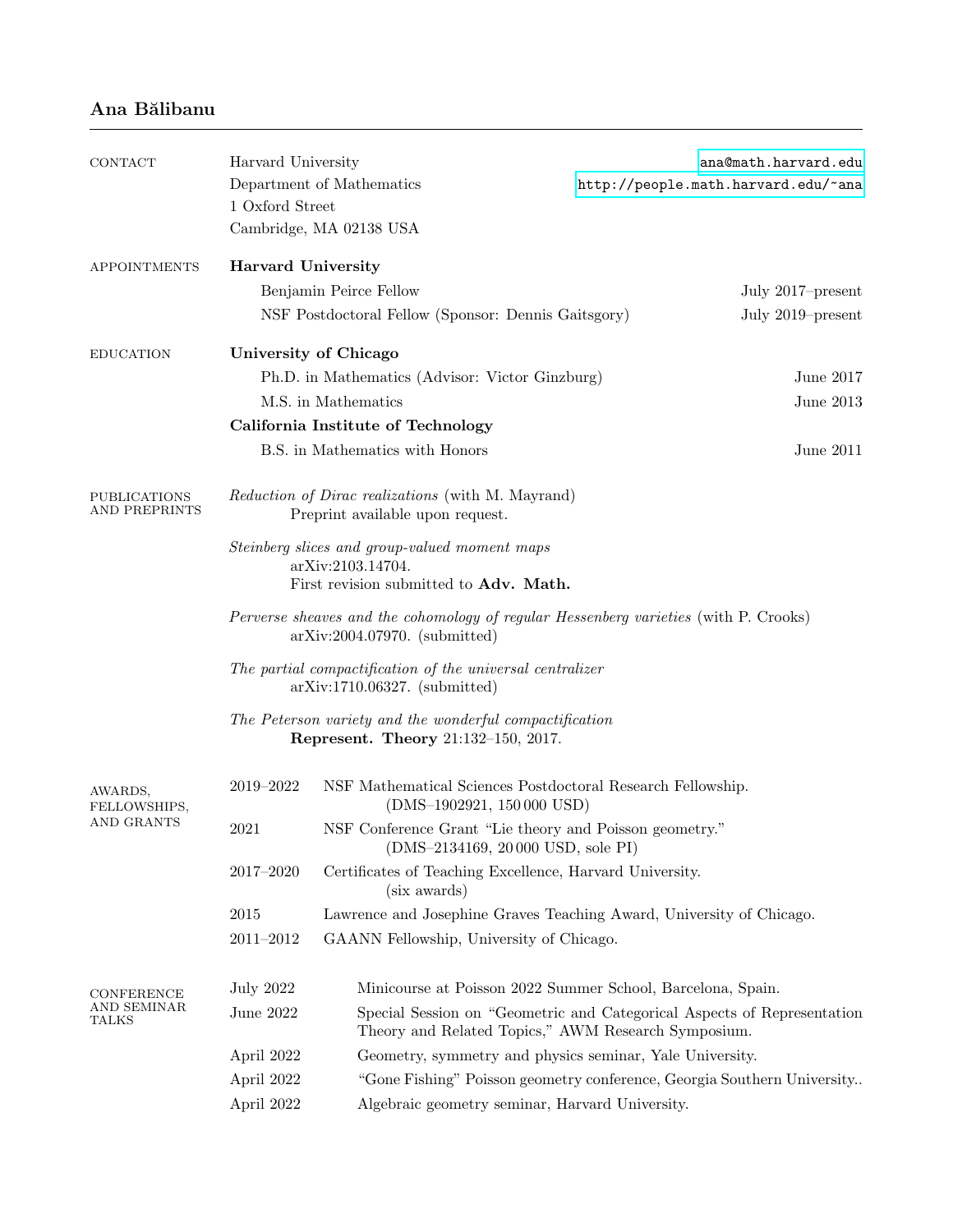## Ana Bălibanu

| <b>CONTACT</b>                              | Harvard University                                                                                                                          |                                                                                                       | ana@math.harvard.edu                                                    |  |  |
|---------------------------------------------|---------------------------------------------------------------------------------------------------------------------------------------------|-------------------------------------------------------------------------------------------------------|-------------------------------------------------------------------------|--|--|
|                                             |                                                                                                                                             | Department of Mathematics                                                                             | http://people.math.harvard.edu/~ana                                     |  |  |
|                                             | 1 Oxford Street                                                                                                                             |                                                                                                       |                                                                         |  |  |
|                                             |                                                                                                                                             | Cambridge, MA 02138 USA                                                                               |                                                                         |  |  |
| <b>APPOINTMENTS</b>                         | <b>Harvard University</b>                                                                                                                   |                                                                                                       |                                                                         |  |  |
|                                             |                                                                                                                                             | Benjamin Peirce Fellow                                                                                | July 2017–present                                                       |  |  |
|                                             | NSF Postdoctoral Fellow (Sponsor: Dennis Gaitsgory)<br>July 2019–present                                                                    |                                                                                                       |                                                                         |  |  |
| <b>EDUCATION</b>                            | University of Chicago                                                                                                                       |                                                                                                       |                                                                         |  |  |
|                                             |                                                                                                                                             | Ph.D. in Mathematics (Advisor: Victor Ginzburg)                                                       | June 2017                                                               |  |  |
|                                             |                                                                                                                                             | M.S. in Mathematics                                                                                   | June 2013                                                               |  |  |
|                                             | California Institute of Technology                                                                                                          |                                                                                                       |                                                                         |  |  |
|                                             | B.S. in Mathematics with Honors<br>June 2011                                                                                                |                                                                                                       |                                                                         |  |  |
| <b>PUBLICATIONS</b><br><b>AND PREPRINTS</b> | Reduction of Dirac realizations (with M. Mayrand)<br>Preprint available upon request.                                                       |                                                                                                       |                                                                         |  |  |
|                                             | Steinberg slices and group-valued moment maps<br>arXiv:2103.14704.<br>First revision submitted to Adv. Math.                                |                                                                                                       |                                                                         |  |  |
|                                             | Perverse sheaves and the cohomology of regular Hessenberg varieties (with P. Crooks)<br>$arXiv:2004.07970.$ (submitted)                     |                                                                                                       |                                                                         |  |  |
|                                             | The partial compactification of the universal centralizer<br>$arXiv:1710.06327.$ (submitted)                                                |                                                                                                       |                                                                         |  |  |
|                                             |                                                                                                                                             | The Peterson variety and the wonderful compactification<br><b>Represent. Theory 21:132-150, 2017.</b> |                                                                         |  |  |
| AWARDS,<br>FELLOWSHIPS,<br>AND GRANTS       | 2019-2022                                                                                                                                   | NSF Mathematical Sciences Postdoctoral Research Fellowship.<br>$(DMS-1902921, 150000 \text{ USD})$    |                                                                         |  |  |
|                                             | 2021                                                                                                                                        | NSF Conference Grant "Lie theory and Poisson geometry."<br>$(DMS-2134169, 20000$ USD, sole PI)        |                                                                         |  |  |
|                                             | $2017 \hbox{--} 2020$                                                                                                                       | Certificates of Teaching Excellence, Harvard University.<br>(six awards)                              |                                                                         |  |  |
|                                             | 2015                                                                                                                                        |                                                                                                       | Lawrence and Josephine Graves Teaching Award, University of Chicago.    |  |  |
|                                             | $2011\hbox{--}2012$                                                                                                                         | GAANN Fellowship, University of Chicago.                                                              |                                                                         |  |  |
| CONFERENCE<br>AND SEMINAR<br>TALKS          | <b>July 2022</b>                                                                                                                            |                                                                                                       | Minicourse at Poisson 2022 Summer School, Barcelona, Spain.             |  |  |
|                                             | June 2022<br>Special Session on "Geometric and Categorical Aspects of Representation<br>Theory and Related Topics," AWM Research Symposium. |                                                                                                       |                                                                         |  |  |
|                                             | April 2022                                                                                                                                  | Geometry, symmetry and physics seminar, Yale University.                                              |                                                                         |  |  |
|                                             | April 2022                                                                                                                                  |                                                                                                       | "Gone Fishing" Poisson geometry conference, Georgia Southern University |  |  |
|                                             | April 2022                                                                                                                                  | Algebraic geometry seminar, Harvard University.                                                       |                                                                         |  |  |
|                                             |                                                                                                                                             |                                                                                                       |                                                                         |  |  |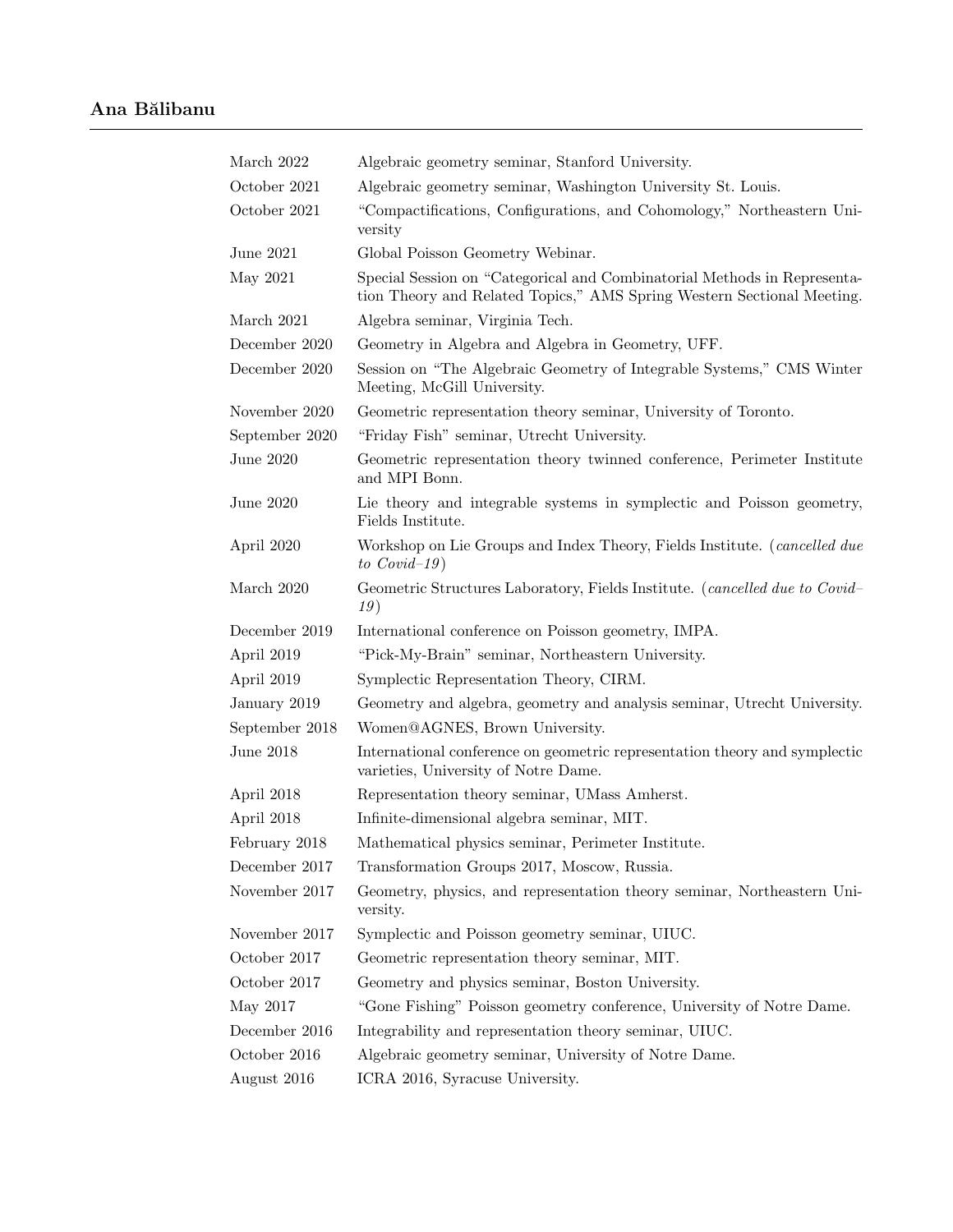| Algebraic geometry seminar, Stanford University.                                                                                                   |  |  |
|----------------------------------------------------------------------------------------------------------------------------------------------------|--|--|
| Algebraic geometry seminar, Washington University St. Louis.                                                                                       |  |  |
| "Compactifications, Configurations, and Cohomology," Northeastern Uni-<br>versity                                                                  |  |  |
| Global Poisson Geometry Webinar.                                                                                                                   |  |  |
| Special Session on "Categorical and Combinatorial Methods in Representa-<br>tion Theory and Related Topics," AMS Spring Western Sectional Meeting. |  |  |
| Algebra seminar, Virginia Tech.                                                                                                                    |  |  |
| Geometry in Algebra and Algebra in Geometry, UFF.                                                                                                  |  |  |
| Session on "The Algebraic Geometry of Integrable Systems," CMS Winter<br>Meeting, McGill University.                                               |  |  |
| Geometric representation theory seminar, University of Toronto.                                                                                    |  |  |
| "Friday Fish" seminar, Utrecht University.                                                                                                         |  |  |
| Geometric representation theory twinned conference, Perimeter Institute<br>and MPI Bonn.                                                           |  |  |
| Lie theory and integrable systems in symplectic and Poisson geometry,<br>Fields Institute.                                                         |  |  |
| Workshop on Lie Groups and Index Theory, Fields Institute. (cancelled due<br>to $Covid-19$                                                         |  |  |
| Geometric Structures Laboratory, Fields Institute. (cancelled due to Covid-<br>19)                                                                 |  |  |
| International conference on Poisson geometry, IMPA.                                                                                                |  |  |
| "Pick-My-Brain" seminar, Northeastern University.                                                                                                  |  |  |
| Symplectic Representation Theory, CIRM.                                                                                                            |  |  |
| Geometry and algebra, geometry and analysis seminar, Utrecht University.                                                                           |  |  |
| Women@AGNES, Brown University.                                                                                                                     |  |  |
| International conference on geometric representation theory and symplectic<br>varieties, University of Notre Dame.                                 |  |  |
| Representation theory seminar, UMass Amherst.                                                                                                      |  |  |
| Infinite-dimensional algebra seminar, MIT.                                                                                                         |  |  |
| Mathematical physics seminar, Perimeter Institute.                                                                                                 |  |  |
| Transformation Groups 2017, Moscow, Russia.                                                                                                        |  |  |
| Geometry, physics, and representation theory seminar, Northeastern Uni-<br>versity.                                                                |  |  |
| Symplectic and Poisson geometry seminar, UIUC.                                                                                                     |  |  |
| Geometric representation theory seminar, MIT.                                                                                                      |  |  |
| Geometry and physics seminar, Boston University.                                                                                                   |  |  |
| "Gone Fishing" Poisson geometry conference, University of Notre Dame.                                                                              |  |  |
| Integrability and representation theory seminar, UIUC.                                                                                             |  |  |
| Algebraic geometry seminar, University of Notre Dame.                                                                                              |  |  |
| ICRA 2016, Syracuse University.                                                                                                                    |  |  |
|                                                                                                                                                    |  |  |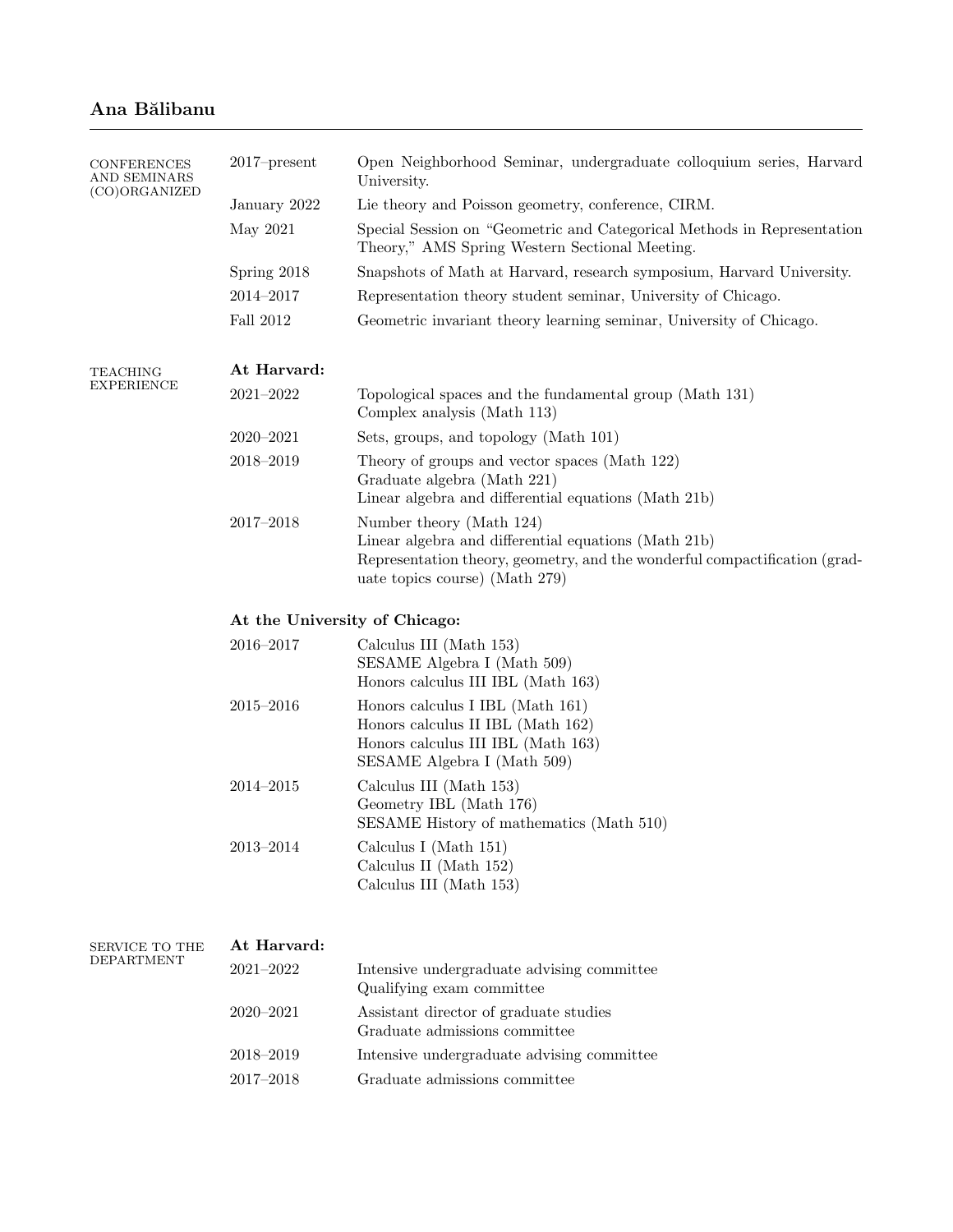## Ana Bălibanu

| <b>CONFERENCES</b><br>AND SEMINARS<br>(CO)ORGANIZED | $2017$ -present               | Open Neighborhood Seminar, undergraduate colloquium series, Harvard<br>University.                                                                                                               |  |  |  |
|-----------------------------------------------------|-------------------------------|--------------------------------------------------------------------------------------------------------------------------------------------------------------------------------------------------|--|--|--|
|                                                     | January 2022                  | Lie theory and Poisson geometry, conference, CIRM.                                                                                                                                               |  |  |  |
|                                                     | May 2021                      | Special Session on "Geometric and Categorical Methods in Representation<br>Theory," AMS Spring Western Sectional Meeting.                                                                        |  |  |  |
|                                                     | Spring 2018                   | Snapshots of Math at Harvard, research symposium, Harvard University.                                                                                                                            |  |  |  |
|                                                     | $2014 - 2017$                 | Representation theory student seminar, University of Chicago.                                                                                                                                    |  |  |  |
|                                                     | <b>Fall 2012</b>              | Geometric invariant theory learning seminar, University of Chicago.                                                                                                                              |  |  |  |
| TEACHING<br>EXPERIENCE                              | At Harvard:                   |                                                                                                                                                                                                  |  |  |  |
|                                                     | $2021 - 2022$                 | Topological spaces and the fundamental group (Math 131)<br>Complex analysis (Math 113)                                                                                                           |  |  |  |
|                                                     | $2020 - 2021$                 | Sets, groups, and topology (Math 101)                                                                                                                                                            |  |  |  |
|                                                     | $2018 - 2019$                 | Theory of groups and vector spaces (Math 122)<br>Graduate algebra (Math 221)<br>Linear algebra and differential equations (Math 21b)                                                             |  |  |  |
|                                                     | $2017 - 2018$                 | Number theory (Math 124)<br>Linear algebra and differential equations (Math 21b)<br>Representation theory, geometry, and the wonderful compactification (grad-<br>uate topics course) (Math 279) |  |  |  |
|                                                     | At the University of Chicago: |                                                                                                                                                                                                  |  |  |  |
|                                                     | $2016 - 2017$                 | Calculus III (Math 153)<br>SESAME Algebra I (Math 509)<br>Honors calculus III IBL (Math 163)                                                                                                     |  |  |  |
|                                                     | $2015 - 2016$                 | Honors calculus I IBL (Math 161)<br>Honors calculus II IBL (Math 162)<br>Honors calculus III IBL (Math 163)<br>SESAME Algebra I (Math 509)                                                       |  |  |  |
|                                                     | $2014 - 2015$                 | Calculus III (Math 153)<br>Geometry IBL (Math 176)<br>SESAME History of mathematics (Math 510)                                                                                                   |  |  |  |
|                                                     | $2013 - 2014$                 | Calculus I (Math 151)<br>Calculus II (Math 152)<br>Calculus III (Math 153)                                                                                                                       |  |  |  |
| SERVICE TO THE<br>DEPARTMENT                        | At Harvard:                   |                                                                                                                                                                                                  |  |  |  |
|                                                     | $2021 - 2022$                 | Intensive undergraduate advising committee<br>Qualifying exam committee                                                                                                                          |  |  |  |
|                                                     | $2020 - 2021$                 | Assistant director of graduate studies<br>Graduate admissions committee                                                                                                                          |  |  |  |
|                                                     | 2018-2019                     | Intensive undergraduate advising committee                                                                                                                                                       |  |  |  |
|                                                     | $2017 - 2018$                 | Graduate admissions committee                                                                                                                                                                    |  |  |  |